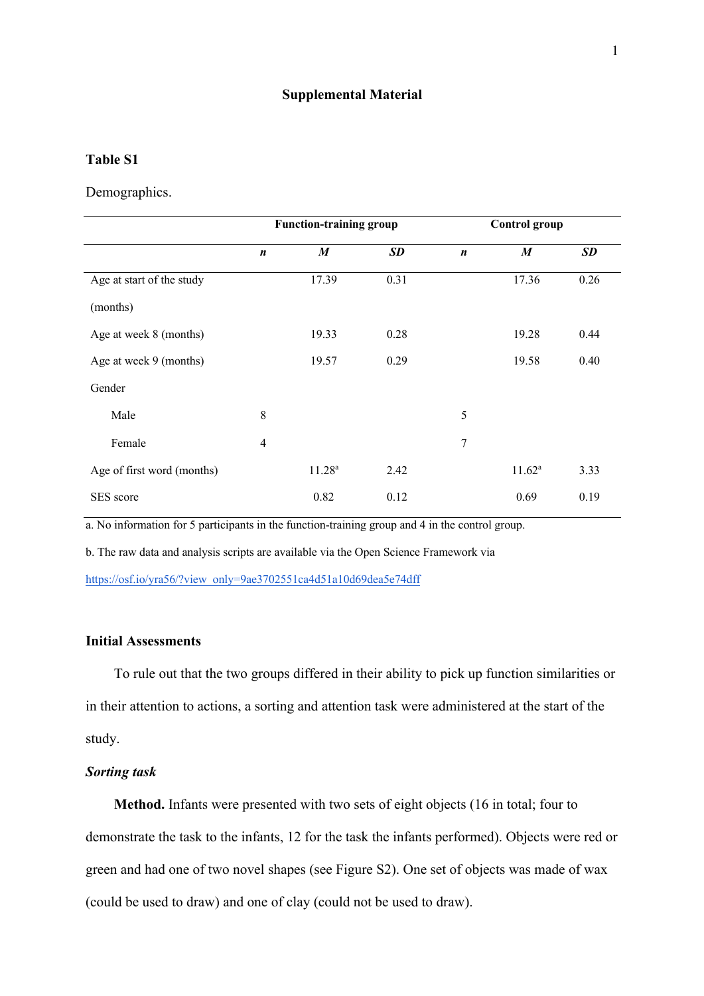#### **Supplemental Material**

#### **Table S1**

Demographics.

|                            | <b>Function-training group</b> |                    |           | <b>Control group</b> |                 |           |
|----------------------------|--------------------------------|--------------------|-----------|----------------------|-----------------|-----------|
|                            | $\boldsymbol{n}$               | M                  | <b>SD</b> | $\boldsymbol{n}$     | M               | <b>SD</b> |
| Age at start of the study  |                                | 17.39              | 0.31      |                      | 17.36           | 0.26      |
| (months)                   |                                |                    |           |                      |                 |           |
| Age at week 8 (months)     |                                | 19.33              | 0.28      |                      | 19.28           | 0.44      |
| Age at week 9 (months)     |                                | 19.57              | 0.29      |                      | 19.58           | 0.40      |
| Gender                     |                                |                    |           |                      |                 |           |
| Male                       | 8                              |                    |           | 5                    |                 |           |
| Female                     | $\overline{4}$                 |                    |           | 7                    |                 |           |
| Age of first word (months) |                                | 11.28 <sup>a</sup> | 2.42      |                      | $11.62^{\rm a}$ | 3.33      |
| SES score                  |                                | 0.82               | 0.12      |                      | 0.69            | 0.19      |

a. No information for 5 participants in the function-training group and 4 in the control group.

b. The raw data and analysis scripts are available via the Open Science Framework via

https://osf.io/yra56/?view\_only=9ae3702551ca4d51a10d69dea5e74dff

# **Initial Assessments**

To rule out that the two groups differed in their ability to pick up function similarities or in their attention to actions, a sorting and attention task were administered at the start of the study.

## *Sorting task*

**Method.** Infants were presented with two sets of eight objects (16 in total; four to demonstrate the task to the infants, 12 for the task the infants performed). Objects were red or green and had one of two novel shapes (see Figure S2). One set of objects was made of wax (could be used to draw) and one of clay (could not be used to draw).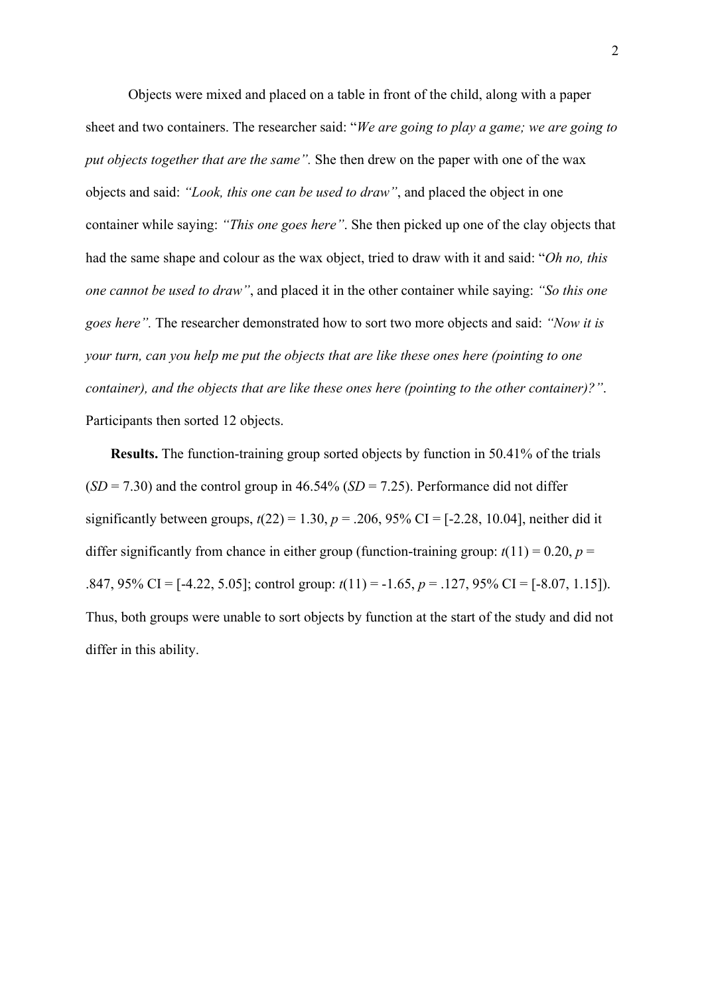Objects were mixed and placed on a table in front of the child, along with a paper sheet and two containers. The researcher said: "*We are going to play a game; we are going to put objects together that are the same".* She then drew on the paper with one of the wax objects and said: *"Look, this one can be used to draw"*, and placed the object in one container while saying: *"This one goes here"*. She then picked up one of the clay objects that had the same shape and colour as the wax object, tried to draw with it and said: "*Oh no, this one cannot be used to draw"*, and placed it in the other container while saying: *"So this one goes here".* The researcher demonstrated how to sort two more objects and said: *"Now it is your turn, can you help me put the objects that are like these ones here (pointing to one container), and the objects that are like these ones here (pointing to the other container)?"*. Participants then sorted 12 objects.

 **Results.** The function-training group sorted objects by function in 50.41% of the trials  $(SD = 7.30)$  and the control group in 46.54%  $(SD = 7.25)$ . Performance did not differ significantly between groups,  $t(22) = 1.30$ ,  $p = .206$ , 95% CI = [-2.28, 10.04], neither did it differ significantly from chance in either group (function-training group:  $t(11) = 0.20$ ,  $p =$ .847, 95% CI = [-4.22, 5.05]; control group: *t*(11) = -1.65, *p* = .127, 95% CI = [-8.07, 1.15]). Thus, both groups were unable to sort objects by function at the start of the study and did not differ in this ability.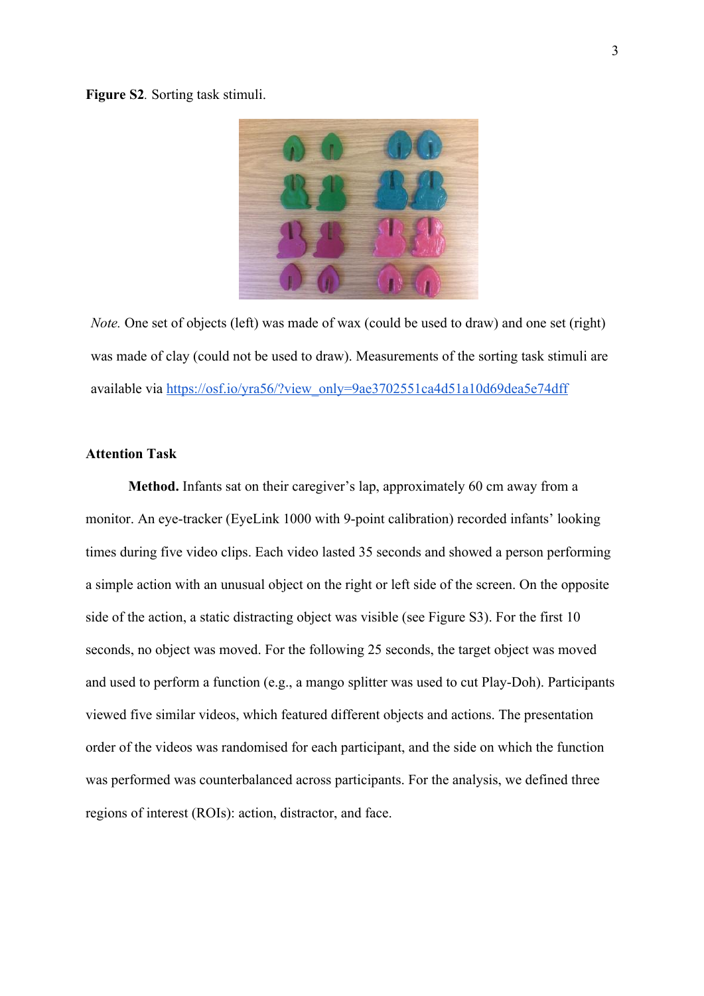#### **Figure S2***.* Sorting task stimuli.



*Note.* One set of objects (left) was made of wax (could be used to draw) and one set (right) was made of clay (could not be used to draw). Measurements of the sorting task stimuli are available via https://osf.io/yra56/?view\_only=9ae3702551ca4d51a10d69dea5e74dff

# **Attention Task**

**Method.** Infants sat on their caregiver's lap, approximately 60 cm away from a monitor. An eye-tracker (EyeLink 1000 with 9-point calibration) recorded infants' looking times during five video clips. Each video lasted 35 seconds and showed a person performing a simple action with an unusual object on the right or left side of the screen. On the opposite side of the action, a static distracting object was visible (see Figure S3). For the first 10 seconds, no object was moved. For the following 25 seconds, the target object was moved and used to perform a function (e.g., a mango splitter was used to cut Play-Doh). Participants viewed five similar videos, which featured different objects and actions. The presentation order of the videos was randomised for each participant, and the side on which the function was performed was counterbalanced across participants. For the analysis, we defined three regions of interest (ROIs): action, distractor, and face.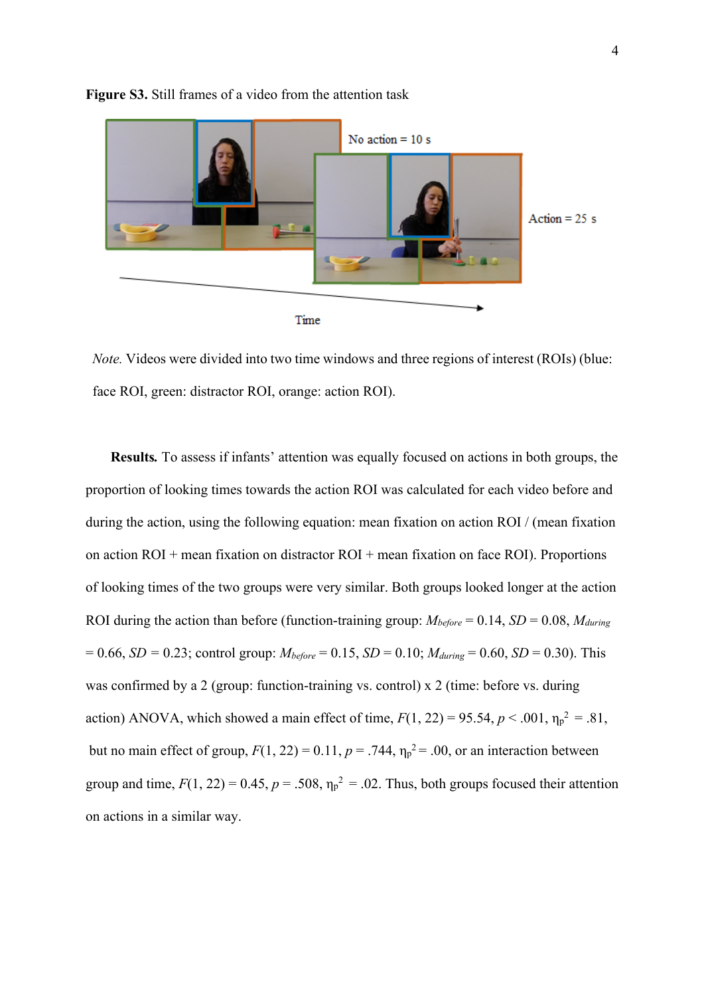

**Figure S3.** Still frames of a video from the attention task



 **Results***.* To assess if infants' attention was equally focused on actions in both groups, the proportion of looking times towards the action ROI was calculated for each video before and during the action, using the following equation: mean fixation on action ROI / (mean fixation on action ROI + mean fixation on distractor ROI + mean fixation on face ROI). Proportions of looking times of the two groups were very similar. Both groups looked longer at the action ROI during the action than before (function-training group:  $M_{before} = 0.14$ ,  $SD = 0.08$ ,  $M_{during}$  $= 0.66$ , *SD* = 0.23; control group:  $M_{before} = 0.15$ , *SD* = 0.10;  $M_{during} = 0.60$ , *SD* = 0.30). This was confirmed by a 2 (group: function-training vs. control) x 2 (time: before vs. during action) ANOVA, which showed a main effect of time,  $F(1, 22) = 95.54$ ,  $p < .001$ ,  $\eta_p^2 = .81$ , but no main effect of group,  $F(1, 22) = 0.11$ ,  $p = .744$ ,  $\eta_p^2 = .00$ , or an interaction between group and time,  $F(1, 22) = 0.45$ ,  $p = .508$ ,  $\eta_p^2 = .02$ . Thus, both groups focused their attention on actions in a similar way.